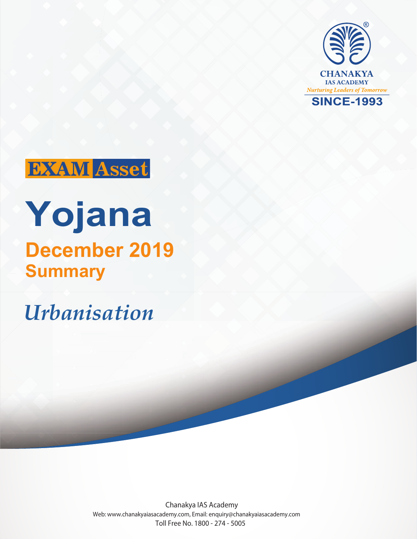



# **Yojana Summary December 2019**

*Urbanisation*

Chanakya IAS Academy Web: www.chanakyaiasacademy.com, Email: enquiry@chanakyaiasacademy.com Toll Free No. 1800 - 274 - 5005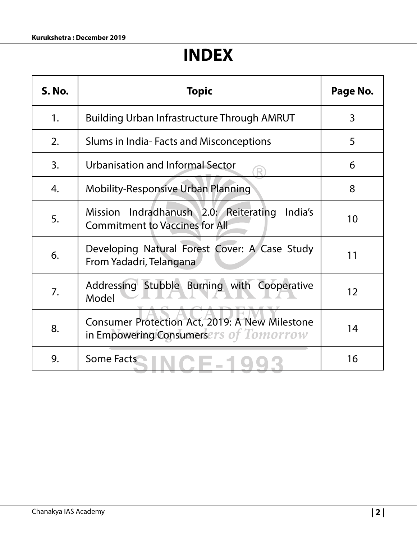# **INDEX**

| <b>S. No.</b> | <b>Topic</b>                                                                                        | Page No. |
|---------------|-----------------------------------------------------------------------------------------------------|----------|
| 1.            | <b>Building Urban Infrastructure Through AMRUT</b>                                                  | 3        |
| 2.            | Slums in India-Facts and Misconceptions                                                             | 5        |
| 3.            | Urbanisation and Informal Sector                                                                    | 6        |
| 4.            | <b>Mobility-Responsive Urban Planning</b>                                                           | 8        |
| 5.            | Indradhanush 2.0: Reiterating<br>India's<br><b>Mission</b><br><b>Commitment to Vaccines for All</b> | 10       |
| 6.            | Developing Natural Forest Cover: A Case Study<br>From Yadadri, Telangana                            | 11       |
| 7.            | Addressing Stubble Burning with Cooperative<br>Model                                                | 12       |
| 8.            | Consumer Protection Act, 2019: A New Milestone<br>in Empowering Consumersers of Tomorrow            | 14       |
| 9.            | <b>Some Facts</b>                                                                                   | 16       |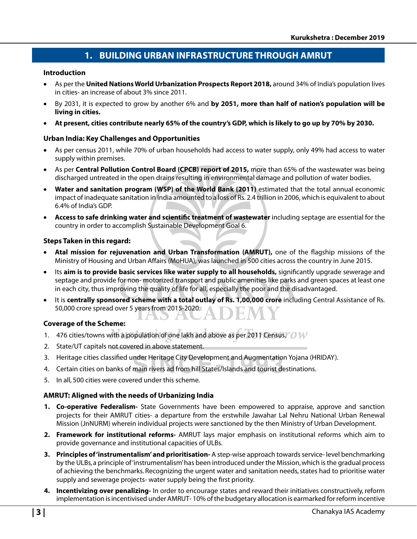# **1. BUILDING URBAN INFRASTRUCTURE THROUGH AMRUT**

#### **Introduction**

- As per the **United Nations World Urbanization Prospects Report 2018,** around 34% of India's population lives in cities- an increase of about 3% since 2011.
- By 2031, it is expected to grow by another 6% and **by 2051, more than half of nation's population will be living in cities.**
- **At present, cities contribute nearly 65% of the country's GDP, which is likely to go up by 70% by 2030.**

#### **Urban India: Key Challenges and Opportunities**

- As per census 2011, while 70% of urban households had access to water supply, only 49% had access to water supply within premises.
- As per **Central Pollution Control Board (CPCB) report of 2015,** more than 65% of the wastewater was being discharged untreated in the open drains resulting in environmental damage and pollution of water bodies.
- **Water and sanitation program (WSP) of the World Bank (2011)** estimated that the total annual economic impact of inadequate sanitation in India amounted to a loss of Rs. 2.4 trillion in 2006, which is equivalent to about 6.4% of India's GDP.
- Access to safe drinking water and scientific treatment of wastewater including septage are essential for the country in order to accomplish Sustainable Development Goal 6.

#### **Steps Taken in this regard:**

- Atal mission for rejuvenation and Urban Transformation (AMRUT), one of the flagship missions of the Ministry of Housing and Urban Affairs (MoHUA), was launched in 500 cities across the country in June 2015.
- Its **aim is to provide basic services like water supply to all households,** significantly upgrade sewerage and septage and provide for non- motorized transport and public amenities like parks and green spaces at least one in each city, thus improving the quality of life for all, especially the poor and the disadvantaged.
- It is **centrally sponsored scheme with a total outlay of Rs. 1,00,000 crore** including Central Assistance of Rs. 50,000 crore spread over 5 years from 2015-2020.

#### **Coverage of the Scheme:**

- 1. 476 cities/towns with a population of one lakh and above as per 2011 Census.  $\mathcal{O}(W)$
- 2. State/UT capitals not covered in above statement.
- 3. Heritage cities classified under Heritage City Development and Augmentation Yojana (HRIDAY).
- 4. Certain cities on banks of main rivers ad from hill States/Islands and tourist destinations.
- 5. In all, 500 cities were covered under this scheme.

#### **AMRUT: Aligned with the needs of Urbanizing India**

- **1. Co-operative Federalism-** State Governments have been empowered to appraise, approve and sanction projects for their AMRUT cities- a departure from the erstwhile Jawahar Lal Nehru National Urban Renewal Mission (JnNURM) wherein individual projects were sanctioned by the then Ministry of Urban Development.
- **2. Framework for institutional reforms-** AMRUT lays major emphasis on institutional reforms which aim to provide governance and institutional capacities of ULBs.
- **3. Principles of 'instrumentalism' and prioritisation-** A step-wise approach towards service- level benchmarking by the ULBs, a principle of 'instrumentalism' has been introduced under the Mission, which is the gradual process of achieving the benchmarks. Recognizing the urgent water and sanitation needs, states had to prioritise water supply and sewerage projects- water supply being the first priority.
- **4. Incentivizing over penalizing-** In order to encourage states and reward their initiatives constructively, reform implementation is incentivised under AMRUT- 10% of the budgetary allocation is earmarked for reform incentive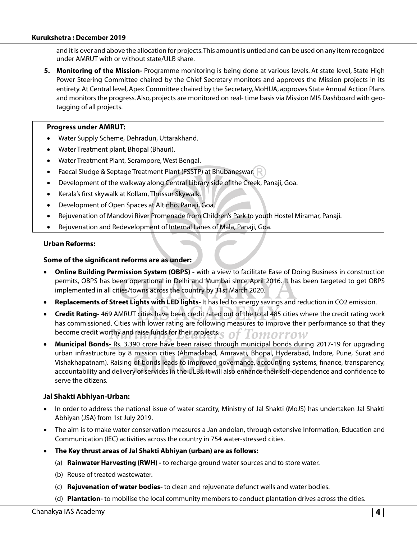and it is over and above the allocation for projects. This amount is untied and can be used on any item recognized under AMRUT with or without state/ULB share.

**5. Monitoring of the Mission-** Programme monitoring is being done at various levels. At state level, State High Power Steering Committee chaired by the Chief Secretary monitors and approves the Mission projects in its entirety. At Central level, Apex Committee chaired by the Secretary, MoHUA, approves State Annual Action Plans and monitors the progress. Also, projects are monitored on real- time basis via Mission MIS Dashboard with geotagging of all projects.

#### **Progress under AMRUT:**

- Water Supply Scheme, Dehradun, Uttarakhand.
- Water Treatment plant, Bhopal (Bhauri).
- Water Treatment Plant, Serampore, West Bengal.
- Faecal Sludge & Septage Treatment Plant (FSSTP) at Bhubaneswar.
- Development of the walkway along Central Library side of the Creek, Panaji, Goa.
- Kerala's first skywalk at Kollam, Thrissur Skywalk.
- Development of Open Spaces at Altinho, Panaji, Goa.
- Rejuvenation of Mandovi River Promenade from Children's Park to youth Hostel Miramar, Panaji.
- Rejuvenation and Redevelopment of Internal Lanes of Mala, Panaji, Goa.

#### **Urban Reforms:**

#### **Some of the significant reforms are as under:**

- **Online Building Permission System (OBPS) -** with a view to facilitate Ease of Doing Business in construction permits, OBPS has been operational in Delhi and Mumbai since April 2016. It has been targeted to get OBPS implemented in all cities/towns across the country by 31st March 2020.
- **Replacements of Street Lights with LED lights-** It has led to energy savings and reduction in CO2 emission.
- **Credit Rating-** 469 AMRUT cities have been credit rated out of the total 485 cities where the credit rating work has commissioned. Cities with lower rating are following measures to improve their performance so that they become credit worthy and raise funds for their projects. omorrow
- **Municipal Bonds-** Rs. 3,390 crore have been raised through municipal bonds during 2017-19 for upgrading urban infrastructure by 8 mission cities (Ahmadabad, Amravati, Bhopal, Hyderabad, Indore, Pune, Surat and Vishakhapatnam). Raising of bonds leads to improved governance, accounting systems, finance, transparency, accountability and delivery of services in the ULBs. It will also enhance their self-dependence and confidence to serve the citizens.

#### **Jal Shakti Abhiyan-Urban:**

- In order to address the national issue of water scarcity, Ministry of Jal Shakti (MoJS) has undertaken Jal Shakti Abhiyan (JSA) from 1st July 2019.
- The aim is to make water conservation measures a Jan andolan, through extensive Information, Education and Communication (IEC) activities across the country in 754 water-stressed cities.
- **The Key thrust areas of Jal Shakti Abhiyan (urban) are as follows:** 
	- (a) **Rainwater Harvesting (RWH)** to recharge ground water sources and to store water.
	- (b) Reuse of treated wastewater.
	- (c) **Rejuvenation of water bodies-** to clean and rejuvenate defunct wells and water bodies.
	- (d) **Plantation-** to mobilise the local community members to conduct plantation drives across the cities.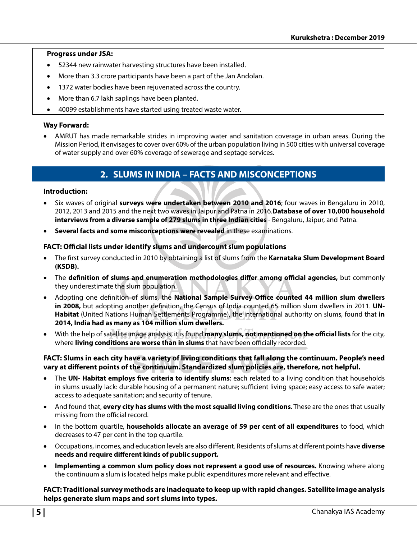#### **Progress under JSA:**

- 52344 new rainwater harvesting structures have been installed.
- More than 3.3 crore participants have been a part of the Jan Andolan.
- 1372 water bodies have been rejuvenated across the country.
- More than 6.7 lakh saplings have been planted.
- 40099 establishments have started using treated waste water.

#### **Way Forward:**

• AMRUT has made remarkable strides in improving water and sanitation coverage in urban areas. During the Mission Period, it envisages to cover over 60% of the urban population living in 500 cities with universal coverage of water supply and over 60% coverage of sewerage and septage services.

# **2. SLUMS IN INDIA – FACTS AND MISCONCEPTIONS**

#### **Introduction:**

- Six waves of original **surveys were undertaken between 2010 and 2016**; four waves in Bengaluru in 2010, 2012, 2013 and 2015 and the next two waves in Jaipur and Patna in 2016.**Database of over 10,000 household interviews from a diverse sample of 279 slums in three Indian cities** - Bengaluru, Jaipur, and Patna.
- **Several facts and some misconceptions were revealed** in these examinations.

#### FACT: Official lists under identify slums and undercount slum populations

- The first survey conducted in 2010 by obtaining a list of slums from the Karnataka Slum Development Board **(KSDB).**
- The **definition of slums and enumeration methodologies differ among official agencies, but commonly** they underestimate the slum population.
- Adopting one definition of slums, the **National Sample Survey Office counted 44 million slum dwellers** in 2008, but adopting another definition, the Census of India counted 65 million slum dwellers in 2011. UN-**Habitat** (United Nations Human Settlements Programme), the international authority on slums, found that **in 2014, India had as many as 104 million slum dwellers.**
- With the help of satellite image analysis, it is found **many slums, not mentioned on the official lists** for the city, where **living conditions are worse than in slums** that have been officially recorded.

#### **FACT: Slums in each city have a variety of living conditions that fall along the continuum. People's need**  vary at different points of the continuum. Standardized slum policies are, therefore, not helpful.

- The UN- Habitat employs five criteria to identify slums; each related to a living condition that households in slums usually lack: durable housing of a permanent nature; sufficient living space; easy access to safe water; access to adequate sanitation; and security of tenure.
- And found that, **every city has slums with the most squalid living conditions**. These are the ones that usually missing from the official record.
- In the bottom quartile, **households allocate an average of 59 per cent of all expenditures** to food, which decreases to 47 per cent in the top quartile.
- Occupations, incomes, and education levels are also different. Residents of slums at different points have **diverse** heeds and require different kinds of public support.
- **Implementing a common slum policy does not represent a good use of resources.** Knowing where along the continuum a slum is located helps make public expenditures more relevant and effective.

#### **FACT: Traditional survey methods are inadequate to keep up with rapid changes. Satellite image analysis helps generate slum maps and sort slums into types.**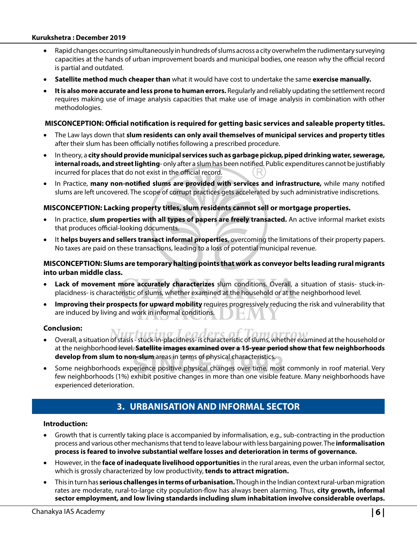#### **Kurukshetra : December 2019**

- Rapid changes occurring simultaneously in hundreds of slums across a city overwhelm the rudimentary surveying capacities at the hands of urban improvement boards and municipal bodies, one reason why the official record is partial and outdated.
- **Satellite method much cheaper than** what it would have cost to undertake the same **exercise manually.**
- **It is also more accurate and less prone to human errors.** Regularly and reliably updating the settlement record requires making use of image analysis capacities that make use of image analysis in combination with other methodologies.

#### **MISCONCEPTION: Official notification is required for getting basic services and saleable property titles.**

- The Law lays down that **slum residents can only avail themselves of municipal services and property titles** after their slum has been officially notifies following a prescribed procedure.
- In theory, a **city should provide municipal services such as garbage pickup, piped drinking water, sewerage, internal roads, and street lighting**- only after a slum has been notified. Public expenditures cannot be justifiably incurred for places that do not exist in the official record.
- In Practice, many non-notified slums are provided with services and infrastructure, while many notified slums are left uncovered. The scope of corrupt practices gets accelerated by such administrative indiscretions.

#### **MISCONCEPTION: Lacking property titles, slum residents cannot sell or mortgage properties.**

- In practice, **slum properties with all types of papers are freely transacted.** An active informal market exists that produces official-looking documents.
- It **helps buyers and sellers transact informal properties**, overcoming the limitations of their property papers. No taxes are paid on these transactions, leading to a loss of potential municipal revenue.

#### **MISCONCEPTION: Slums are temporary halting points that work as conveyor belts leading rural migrants into urban middle class.**

- **Lack of movement more accurately characterizes** slum conditions. Overall, a situation of stasis- stuck-inplacidness- is characteristic of slums, whether examined at the household or at the neighborhood level.
- **Improving their prospects for upward mobility** requires progressively reducing the risk and vulnerability that are induced by living and work in informal conditions.

#### **Conclusion:**

- Overall, a situation of stasis stuck-in-placidness- is characteristic of slums, whether examined at the household or at the neighborhood level. **Satellite images examined over a 15-year period show that few neighborhoods develop from slum to non-slum** areas in terms of physical characteristics.
- Some neighborhoods experience positive physical changes over time, most commonly in roof material. Very few neighborhoods (1%) exhibit positive changes in more than one visible feature. Many neighborhoods have experienced deterioration.

# **3. URBANISATION AND INFORMAL SECTOR**

#### **Introduction:**

- Growth that is currently taking place is accompanied by informalisation, e.g., sub-contracting in the production process and various other mechanisms that tend to leave labour with less bargaining power. The **informalisation process is feared to involve substantial welfare losses and deterioration in terms of governance.**
- However, in the **face of inadequate livelihood opportunities** in the rural areas, even the urban informal sector, which is grossly characterized by low productivity, **tends to attract migration.**
- This in turn has **serious challenges in terms of urbanisation.** Though in the Indian context rural-urban migration rates are moderate, rural-to-large city population-flow has always been alarming. Thus, **city growth, informal sector employment, and low living standards including slum inhabitation involve considerable overlaps.**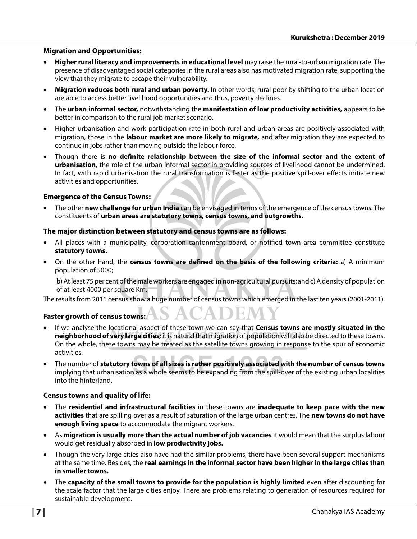#### **Migration and Opportunities:**

- **Higher rural literacy and improvements in educational level** may raise the rural-to-urban migration rate. The presence of disadvantaged social categories in the rural areas also has motivated migration rate, supporting the view that they migrate to escape their vulnerability.
- **Migration reduces both rural and urban poverty.** In other words, rural poor by shifting to the urban location are able to access better livelihood opportunities and thus, poverty declines.
- The **urban informal sector,** notwithstanding the **manifestation of low productivity activities,** appears to be better in comparison to the rural job market scenario.
- Higher urbanisation and work participation rate in both rural and urban areas are positively associated with migration, those in the **labour market are more likely to migrate,** and after migration they are expected to continue in jobs rather than moving outside the labour force.
- Though there is no definite relationship between the size of the informal sector and the extent of **urbanisation,** the role of the urban informal sector in providing sources of livelihood cannot be undermined. In fact, with rapid urbanisation the rural transformation is faster as the positive spill-over effects initiate new activities and opportunities.

#### **Emergence of the Census Towns:**

• The other **new challenge for urban India** can be envisaged in terms of the emergence of the census towns. The constituents of **urban areas are statutory towns, census towns, and outgrowths.** 

#### **The major distinction between statutory and census towns are as follows:**

- All places with a municipality, corporation cantonment board, or notified town area committee constitute **statutory towns.**
- On the other hand, the **census towns are defined on the basis of the following criteria:** a) A minimum population of 5000;

 b) At least 75 per cent of the male workers are engaged in non-agricultural pursuits; and c) A density of population of at least 4000 per square Km.

The results from 2011 census show a huge number of census towns which emerged in the last ten years (2001-2011).

#### **Faster growth of census towns:**

- If we analyse the locational aspect of these town we can say that **Census towns are mostly situated in the neighborhood of very large cities;** it is natural that migration of population will also be directed to these towns. On the whole, these towns may be treated as the satellite towns growing in response to the spur of economic activities.
- The number of **statutory towns of all sizes is rather positively associated with the number of census towns** implying that urbanisation as a whole seems to be expanding from the spill-over of the existing urban localities into the hinterland.

#### **Census towns and quality of life:**

- The **residential and infrastructural facilities** in these towns are **inadequate to keep pace with the new activities** that are spilling over as a result of saturation of the large urban centres. The **new towns do not have enough living space** to accommodate the migrant workers.
- As **migration is usually more than the actual number of job vacancies** it would mean that the surplus labour would get residually absorbed in **low productivity jobs.**
- Though the very large cities also have had the similar problems, there have been several support mechanisms at the same time. Besides, the **real earnings in the informal sector have been higher in the large cities than in smaller towns.**
- The **capacity of the small towns to provide for the population is highly limited** even after discounting for the scale factor that the large cities enjoy. There are problems relating to generation of resources required for sustainable development.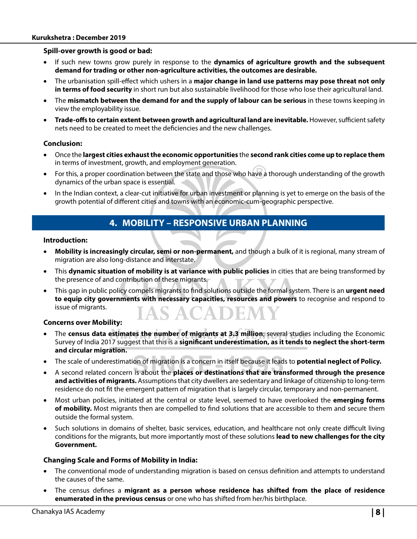#### **Kurukshetra : December 2019**

#### **Spill-over growth is good or bad:**

- If such new towns grow purely in response to the **dynamics of agriculture growth and the subsequent demand for trading or other non-agriculture activities, the outcomes are desirable.**
- The urbanisation spill-effect which ushers in a **major change in land use patterns may pose threat not only in terms of food security** in short run but also sustainable livelihood for those who lose their agricultural land.
- The **mismatch between the demand for and the supply of labour can be serious** in these towns keeping in view the employability issue.
- **Trade-offs to certain extent between growth and agricultural land are inevitable.** However, sufficient safety nets need to be created to meet the deficiencies and the new challenges.

#### **Conclusion:**

- Once the **largest cities exhaust the economic opportunities** the **second rank cities come up to replace them** in terms of investment, growth, and employment generation.
- For this, a proper coordination between the state and those who have a thorough understanding of the growth dynamics of the urban space is essential.
- In the Indian context, a clear-cut initiative for urban investment or planning is yet to emerge on the basis of the growth potential of different cities and towns with an economic-cum-geographic perspective.

## **4. MOBILITY – RESPONSIVE URBAN PLANNING**

#### **Introduction:**

- **Mobility is increasingly circular, semi or non-permanent,** and though a bulk of it is regional, many stream of migration are also long-distance and interstate.
- This **dynamic situation of mobility is at variance with public policies** in cities that are being transformed by the presence of and contribution of these migrants.
- This gap in public policy compels migrants to find solutions outside the formal system. There is an **urgent need to equip city governments with necessary capacities, resources and powers** to recognise and respond to issue of migrants.

#### **Concerns over Mobility:**

- The **census data estimates the number of migrants at 3.3 million**; several studies including the Economic Survey of India 2017 suggest that this is a **significant underestimation, as it tends to neglect the short-term and circular migration.**
- The scale of underestimation of migration is a concern in itself because it leads to **potential neglect of Policy.**
- A second related concern is about the **places or destinations that are transformed through the presence and activities of migrants.** Assumptions that city dwellers are sedentary and linkage of citizenship to long-term residence do not fit the emergent pattern of migration that is largely circular, temporary and non-permanent.
- Most urban policies, initiated at the central or state level, seemed to have overlooked the **emerging forms**  of mobility. Most migrants then are compelled to find solutions that are accessible to them and secure them outside the formal system.
- Such solutions in domains of shelter, basic services, education, and healthcare not only create difficult living conditions for the migrants, but more importantly most of these solutions **lead to new challenges for the city Government.**

#### **Changing Scale and Forms of Mobility in India:**

- The conventional mode of understanding migration is based on census definition and attempts to understand the causes of the same.
- The census defines a migrant as a person whose residence has shifted from the place of residence **enumerated in the previous census** or one who has shifted from her/his birthplace.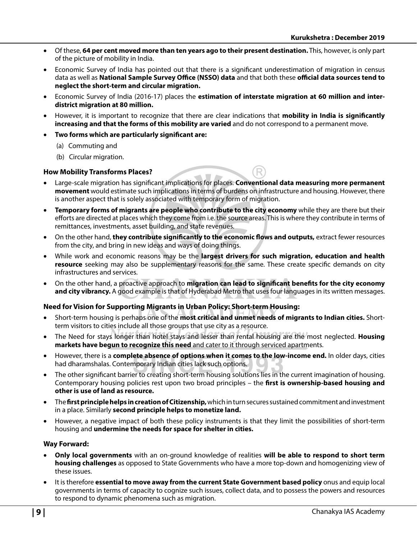- Of these, **64 per cent moved more than ten years ago to their present destination.** This, however, is only part of the picture of mobility in India.
- Economic Survey of India has pointed out that there is a significant underestimation of migration in census data as well as **National Sample Survey Office (NSSO) data** and that both these **official data sources tend to neglect the short-term and circular migration.**
- Economic Survey of India (2016-17) places the **estimation of interstate migration at 60 million and interdistrict migration at 80 million.**
- However, it is important to recognize that there are clear indications that **mobility in India is significantly increasing and that the forms of this mobility are varied** and do not correspond to a permanent move.
- **Two forms which are particularly significant are:** 
	- (a) Commuting and
	- (b) Circular migration.

#### **How Mobility Transforms Places?**

- Large-scale migration has significant implications for places. **Conventional data measuring more permanent movement** would estimate such implications in terms of burdens on infrastructure and housing. However, there is another aspect that is solely associated with temporary form of migration.
- **Temporary forms of migrants are people who contribute to the city economy** while they are there but their efforts are directed at places which they come from i.e. the source areas. This is where they contribute in terms of remittances, investments, asset building, and state revenues.
- On the other hand, **they contribute significantly to the economic flows and outputs,** extract fewer resources from the city, and bring in new ideas and ways of doing things.
- While work and economic reasons may be the **largest drivers for such migration, education and health**  resource seeking may also be supplementary reasons for the same. These create specific demands on city infrastructures and services.
- On the other hand, a proactive approach to **migration can lead to significant benefits for the city economy and city vibrancy.** A good example is that of Hyderabad Metro that uses four languages in its written messages.

#### **Need for Vision for Supporting Migrants in Urban Policy: Short-term Housing:**

- Short-term housing is perhaps one of the **most critical and unmet needs of migrants to Indian cities.** Shortterm visitors to cities include all those groups that use city as a resource.
- The Need for stays longer than hotel stays and lesser than rental housing are the most neglected. **Housing markets have begun to recognize this need** and cater to it through serviced apartments.
- However, there is a **complete absence of options when it comes to the low-income end.** In older days, cities had dharamshalas. Contemporary Indian cities lack such options.
- The other significant barrier to creating short-term housing solutions lies in the current imagination of housing. Contemporary housing policies rest upon two broad principles – the **first is ownership-based housing and other is use of land as resource.**
- The **! rst principle helps in creation of Citizenship,** which in turn secures sustained commitment and investment in a place. Similarly **second principle helps to monetize land.**
- However, a negative impact of both these policy instruments is that they limit the possibilities of short-term housing and **undermine the needs for space for shelter in cities.**

#### **Way Forward:**

- **Only local governments** with an on-ground knowledge of realities **will be able to respond to short term housing challenges** as opposed to State Governments who have a more top-down and homogenizing view of these issues.
- It is therefore **essential to move away from the current State Government based policy** onus and equip local governments in terms of capacity to cognize such issues, collect data, and to possess the powers and resources to respond to dynamic phenomena such as migration.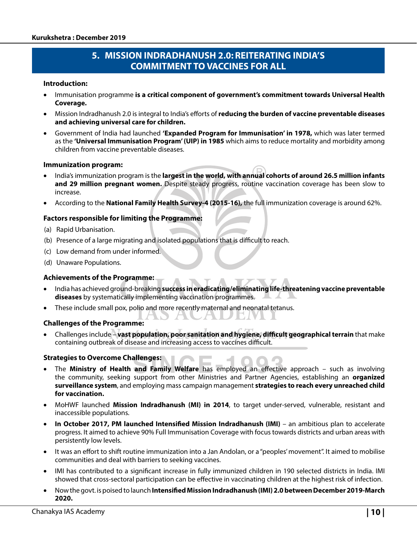# **5. MISSION INDRADHANUSH 2.0: REITERATING INDIA'S COMMITMENT TO VACCINES FOR ALL**

#### **Introduction:**

- Immunisation programme **is a critical component of government's commitment towards Universal Health Coverage.**
- Mission Indradhanush 2.0 is integral to India's efforts of **reducing the burden of vaccine preventable diseases and achieving universal care for children.**
- Government of India had launched **'Expanded Program for Immunisation' in 1978,** which was later termed as the **'Universal Immunisation Program' (UIP) in 1985** which aims to reduce mortality and morbidity among children from vaccine preventable diseases.

#### **Immunization program:**

- India's immunization program is the **largest in the world, with annual cohorts of around 26.5 million infants and 29 million pregnant women.** Despite steady progress, routine vaccination coverage has been slow to increase.
- According to the **National Family Health Survey-4 (2015-16),** the full immunization coverage is around 62%.

#### **Factors responsible for limiting the Programme:**

- (a) Rapid Urbanisation.
- (b) Presence of a large migrating and isolated populations that is difficult to reach.
- (c) Low demand from under informed.
- (d) Unaware Populations.

#### **Achievements of the Programme:**

- India has achieved ground-breaking **success in eradicating/eliminating life-threatening vaccine preventable diseases** by systematically implementing vaccination programmes.
- These include small pox, polio and more recently maternal and neonatal tetanus.

#### **Challenges of the Programme:**

• Challenges include – **vast population, poor sanitation and hygiene, difficult geographical terrain** that make containing outbreak of disease and increasing access to vaccines difficult.

#### **Strategies to Overcome Challenges:**

- The **Ministry of Health and Family Welfare** has employed an effective approach such as involving the community, seeking support from other Ministries and Partner Agencies, establishing an **organized surveillance system**, and employing mass campaign management **strategies to reach every unreached child for vaccination.**
- MoHWF launched **Mission Indradhanush (MI) in 2014**, to target under-served, vulnerable, resistant and inaccessible populations.
- **In October 2017, PM launched Intensified Mission Indradhanush (IMI)** an ambitious plan to accelerate progress. It aimed to achieve 90% Full Immunisation Coverage with focus towards districts and urban areas with persistently low levels.
- It was an effort to shift routine immunization into a Jan Andolan, or a "peoples' movement". It aimed to mobilise communities and deal with barriers to seeking vaccines.
- IMI has contributed to a significant increase in fully immunized children in 190 selected districts in India. IMI showed that cross-sectoral participation can be effective in vaccinating children at the highest risk of infection.
- Now the govt. is poised to launch **Intensified Mission Indradhanush (IMI) 2.0 between December 2019-March 2020.**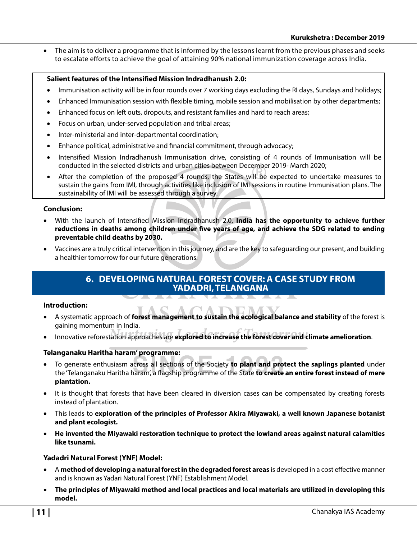• The aim is to deliver a programme that is informed by the lessons learnt from the previous phases and seeks to escalate efforts to achieve the goal of attaining 90% national immunization coverage across India.

#### **Salient features of the Intensified Mission Indradhanush 2.0:**

- Immunisation activity will be in four rounds over 7 working days excluding the RI days, Sundays and holidays;
- Enhanced Immunisation session with flexible timing, mobile session and mobilisation by other departments;
- Enhanced focus on left outs, dropouts, and resistant families and hard to reach areas;
- Focus on urban, under-served population and tribal areas;
- Inter-ministerial and inter-departmental coordination;
- Enhance political, administrative and financial commitment, through advocacy;
- Intensified Mission Indradhanush Immunisation drive, consisting of 4 rounds of Immunisation will be conducted in the selected districts and urban cities between December 2019- March 2020;
- After the completion of the proposed 4 rounds, the States will be expected to undertake measures to sustain the gains from IMI, through activities like inclusion of IMI sessions in routine Immunisation plans. The sustainability of IMI will be assessed through a survey.

#### **Conclusion:**

- With the launch of Intensified Mission Indradhanush 2.0, **India has the opportunity to achieve further** reductions in deaths among children under five years of age, and achieve the SDG related to ending **preventable child deaths by 2030.**
- Vaccines are a truly critical intervention in this journey, and are the key to safeguarding our present, and building a healthier tomorrow for our future generations.

### **6. DEVELOPING NATURAL FOREST COVER: A CASE STUDY FROM YADADRI, TELANGANA**

#### **Introduction:**

- A systematic approach of **forest management to sustain the ecological balance and stability** of the forest is gaining momentum in India.
- Innovative reforestation approaches are **explored to increase the forest cover and climate amelioration**.

#### **Telanganaku Haritha haram' programme:**

- To generate enthusiasm across all sections of the Society **to plant and protect the saplings planted** under the 'Telanganaku Haritha haram', a flagship programme of the State **to create an entire forest instead of mere plantation.**
- It is thought that forests that have been cleared in diversion cases can be compensated by creating forests instead of plantation.
- This leads to **exploration of the principles of Professor Akira Miyawaki, a well known Japanese botanist and plant ecologist.**
- **He invented the Miyawaki restoration technique to protect the lowland areas against natural calamities like tsunami.**

#### **Yadadri Natural Forest (YNF) Model:**

- A **method of developing a natural forest in the degraded forest areas** is developed in a cost effective manner and is known as Yadari Natural Forest (YNF) Establishment Model.
- **The principles of Miyawaki method and local practices and local materials are utilized in developing this model.**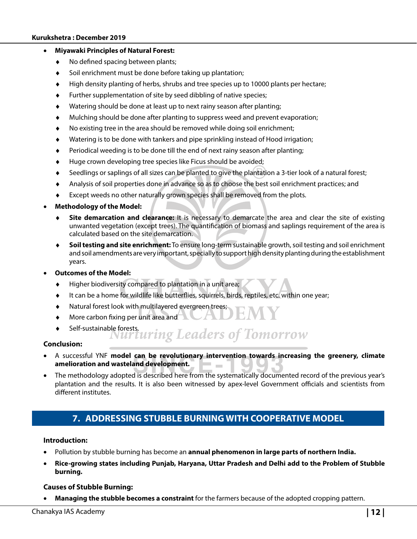#### **Kurukshetra : December 2019**

#### • **Miyawaki Principles of Natural Forest:**

- $\bullet$  No defined spacing between plants;
- Soil enrichment must be done before taking up plantation;
- High density planting of herbs, shrubs and tree species up to 10000 plants per hectare;
- Further supplementation of site by seed dibbling of native species;
- Watering should be done at least up to next rainy season after planting;
- Mulching should be done after planting to suppress weed and prevent evaporation;
- No existing tree in the area should be removed while doing soil enrichment;
- Watering is to be done with tankers and pipe sprinkling instead of Hood irrigation;
- Periodical weeding is to be done till the end of next rainy season after planting;
- Huge crown developing tree species like Ficus should be avoided;
- Seedlings or saplings of all sizes can be planted to give the plantation a 3-tier look of a natural forest;
- Analysis of soil properties done in advance so as to choose the best soil enrichment practices; and
- Except weeds no other naturally grown species shall be removed from the plots.

#### • **Methodology of the Model:**

- **Site demarcation and clearance:** It is necessary to demarcate the area and clear the site of existing unwanted vegetation (except trees). The quantification of biomass and saplings requirement of the area is calculated based on the site demarcation.
- **Soil testing and site enrichment:** To ensure long-term sustainable growth, soil testing and soil enrichment and soil amendments are very important, specially to support high density planting during the establishment years.
- **Outcomes of the Model:**
	- ♦ Higher biodiversity compared to plantation in a unit area;
	- It can be a home for wildlife like butterflies, squirrels, birds, reptiles, etc. within one year;
	- Natural forest look with multilayered evergreen trees;
	- More carbon fixing per unit area and
	- - Self-sustainable forests.<br>Nurturing Leaders of Tomorrow

#### **Conclusion:**

- A successful YNF **model can be revolutionary intervention towards increasing the greenery, climate amelioration and wasteland development.**   $\sim$
- The methodology adopted is described here from the systematically documented record of the previous year's plantation and the results. It is also been witnessed by apex-level Government officials and scientists from different institutes.

# **7. ADDRESSING STUBBLE BURNING WITH COOPERATIVE MODEL**

#### **Introduction:**

- Pollution by stubble burning has become an **annual phenomenon in large parts of northern India.**
- **Rice-growing states including Punjab, Haryana, Uttar Pradesh and Delhi add to the Problem of Stubble burning.**

#### **Causes of Stubble Burning:**

• **Managing the stubble becomes a constraint** for the farmers because of the adopted cropping pattern.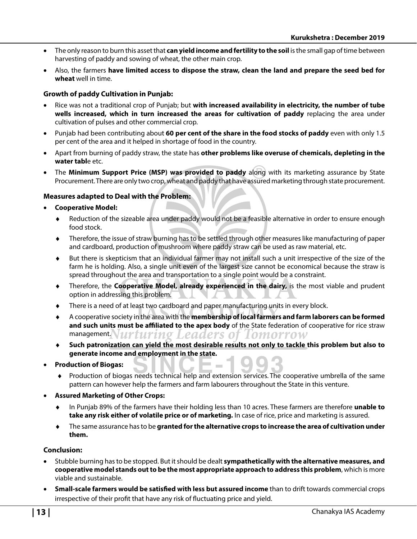- The only reason to burn this asset that **can yield income and fertility to the soil** is the small gap of time between harvesting of paddy and sowing of wheat, the other main crop.
- Also, the farmers **have limited access to dispose the straw, clean the land and prepare the seed bed for wheat** well in time.

#### **Growth of paddy Cultivation in Punjab:**

- Rice was not a traditional crop of Punjab; but **with increased availability in electricity, the number of tube wells increased, which in turn increased the areas for cultivation of paddy** replacing the area under cultivation of pulses and other commercial crop.
- Punjab had been contributing about **60 per cent of the share in the food stocks of paddy** even with only 1.5 per cent of the area and it helped in shortage of food in the country.
- Apart from burning of paddy straw, the state has **other problems like overuse of chemicals, depleting in the water tabl**e etc.
- The **Minimum Support Price (MSP) was provided to paddy** along with its marketing assurance by State Procurement. There are only two crop, wheat and paddy that have assured marketing through state procurement.

#### **Measures adapted to Deal with the Problem:**

- **Cooperative Model:**
	- ♦ Reduction of the sizeable area under paddy would not be a feasible alternative in order to ensure enough food stock.
	- Therefore, the issue of straw burning has to be settled through other measures like manufacturing of paper and cardboard, production of mushroom where paddy straw can be used as raw material, etc.
	- But there is skepticism that an individual farmer may not install such a unit irrespective of the size of the farm he is holding. Also, a single unit even of the largest size cannot be economical because the straw is spread throughout the area and transportation to a single point would be a constraint.
	- Therefore, the **Cooperative Model, already experienced in the dairy,** is the most viable and prudent option in addressing this problem.
	- There is a need of at least two cardboard and paper manufacturing units in every block.
	- ♦ A cooperative society in the area with the **membership of local farmers and farm laborers can be formed**  and such units must be affiliated to the apex body of the State federation of cooperative for rice straw management. Nurturing Leaders of Iomorrow
	- ♦ **Such patronization can yield the most desirable results not only to tackle this problem but also to generate income and employment in the state.**
- **Production of Biogas:** 
	- ♦ Production of biogas needs technical help and extension services. The cooperative umbrella of the same pattern can however help the farmers and farm labourers throughout the State in this venture.
- **Assured Marketing of Other Crops:** 
	- ♦ In Punjab 89% of the farmers have their holding less than 10 acres. These farmers are therefore **unable to take any risk either of volatile price or of marketing.** In case of rice, price and marketing is assured.
	- The same assurance has to be granted for the alternative crops to increase the area of cultivation under **them.**

#### **Conclusion:**

- Stubble burning has to be stopped. But it should be dealt **sympathetically with the alternative measures, and cooperative model stands out to be the most appropriate approach to address this problem**, which is more viable and sustainable.
- **Small-scale farmers would be satisfied with less but assured income** than to drift towards commercial crops irrespective of their profit that have any risk of fluctuating price and yield.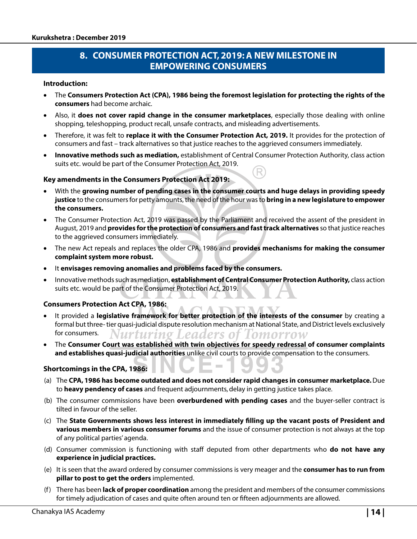# **8. CONSUMER PROTECTION ACT, 2019: A NEW MILESTONE IN EMPOWERING CONSUMERS**

#### **Introduction:**

- The **Consumers Protection Act (CPA), 1986 being the foremost legislation for protecting the rights of the consumers** had become archaic.
- Also, it **does not cover rapid change in the consumer marketplaces**, especially those dealing with online shopping, teleshopping, product recall, unsafe contracts, and misleading advertisements.
- Therefore, it was felt to **replace it with the Consumer Protection Act, 2019.** It provides for the protection of consumers and fast – track alternatives so that justice reaches to the aggrieved consumers immediately.
- **Innovative methods such as mediation,** establishment of Central Consumer Protection Authority, class action suits etc. would be part of the Consumer Protection Act, 2019.

#### **Key amendments in the Consumers Protection Act 2019:**

- With the **growing number of pending cases in the consumer courts and huge delays in providing speedy justice** to the consumers for petty amounts, the need of the hour was to **bring in a new legislature to empower the consumers.**
- The Consumer Protection Act, 2019 was passed by the Parliament and received the assent of the president in August, 2019 and **provides for the protection of consumers and fast track alternatives** so that justice reaches to the aggrieved consumers immediately.
- The new Act repeals and replaces the older CPA, 1986 and **provides mechanisms for making the consumer complaint system more robust.**
- It **envisages removing anomalies and problems faced by the consumers.**
- Innovative methods such as mediation, **establishment of Central Consumer Protection Authority,** class action suits etc. would be part of the Consumer Protection Act, 2019.

#### **Consumers Protection Act CPA, 1986:**

- It provided a **legislative framework for better protection of the interests of the consumer** by creating a formal but three- tier quasi-judicial dispute resolution mechanism at National State, and District levels exclusively for consumers. Nurturing Leaders of Tomorrow
- The **Consumer Court was established with twin objectives for speedy redressal of consumer complaints and establishes quasi-judicial authorities** unlike civil courts to provide compensation to the consumers.

#### **Shortcomings in the CPA, 1986:**

- (a) The **CPA, 1986 has become outdated and does not consider rapid changes in consumer marketplace.** Due to **heavy pendency of cases** and frequent adjournments, delay in getting justice takes place.
- (b) The consumer commissions have been **overburdened with pending cases** and the buyer-seller contract is tilted in favour of the seller.
- (c) The **State Governments shows less interest in immediately fi lling up the vacant posts of President and various members in various consumer forums** and the issue of consumer protection is not always at the top of any political parties' agenda.
- (d) Consumer commission is functioning with staff deputed from other departments who **do not have any experience in judicial practices.**
- (e) It is seen that the award ordered by consumer commissions is very meager and the **consumer has to run from pillar to post to get the orders** implemented.
- (f ) There has been **lack of proper coordination** among the president and members of the consumer commissions for timely adjudication of cases and quite often around ten or fifteen adjournments are allowed.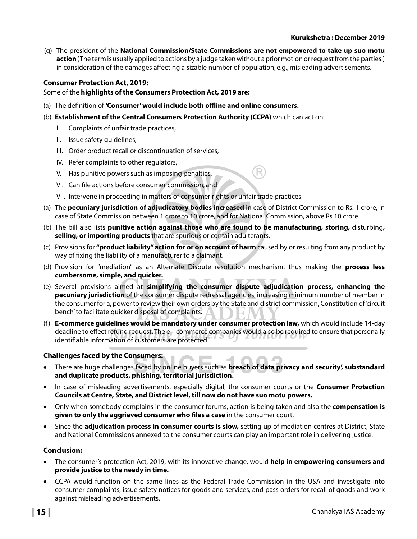(g) The president of the **National Commission/State Commissions are not empowered to take up suo motu action** (The term is usually applied to actions by a judge taken without a prior motion or request from the parties.) in consideration of the damages affecting a sizable number of population, e.g., misleading advertisements.

#### **Consumer Protection Act, 2019:**

Some of the **highlights of the Consumers Protection Act, 2019 are:**

- (a) The definition of **'Consumer' would include both offline and online consumers.**
- (b) **Establishment of the Central Consumers Protection Authority (CCPA)** which can act on:
	- I. Complaints of unfair trade practices,
	- II. Issue safety guidelines,
	- III. Order product recall or discontinuation of services,
	- IV. Refer complaints to other regulators,
	- V. Has punitive powers such as imposing penalties,
	- VI. Can file actions before consumer commission, and
	- VII. Intervene in proceeding in matters of consumer rights or unfair trade practices.
- (a) The **pecuniary jurisdiction of adjudicatory bodies increased** in case of District Commission to Rs. 1 crore, in case of State Commission between 1 crore to 10 crore, and for National Commission, above Rs 10 crore.
- (b) The bill also lists **punitive action against those who are found to be manufacturing, storing,** disturbing**, selling, or importing products** that are spurious or contain adulterants.
- (c) Provisions for **"product liability" action for or on account of harm** caused by or resulting from any product by way of fixing the liability of a manufacturer to a claimant.
- (d) Provision for "mediation" as an Alternate Dispute resolution mechanism, thus making the **process less cumbersome, simple, and quicker.**
- (e) Several provisions aimed at **simplifying the consumer dispute adjudication process, enhancing the pecuniary jurisdiction** of the consumer dispute redressal agencies, increasing minimum number of member in the consumer for a, power to review their own orders by the State and district commission, Constitution of 'circuit bench' to facilitate quicker disposal of complaints.
- (f) **E-commerce guidelines would be mandatory under consumer protection law,** which would include 14-day deadline to effect refund request. The e – commerce companies would also be required to ensure that personally identifiable information of customers are protected.

#### **Challenges faced by the Consumers:**

- There are huge challenges faced by online buyers such as **breach of data privacy and security', substandard and duplicate products, phishing, territorial jurisdiction.**
- In case of misleading advertisements, especially digital, the consumer courts or the **Consumer Protection Councils at Centre, State, and District level, till now do not have suo motu powers.**
- Only when somebody complains in the consumer forums, action is being taken and also the **compensation is**  given to only the aggrieved consumer who files a case in the consumer court.
- Since the **adjudication process in consumer courts is slow,** setting up of mediation centres at District, State and National Commissions annexed to the consumer courts can play an important role in delivering justice.

#### **Conclusion:**

- The consumer's protection Act, 2019, with its innovative change, would **help in empowering consumers and provide justice to the needy in time.**
- CCPA would function on the same lines as the Federal Trade Commission in the USA and investigate into consumer complaints, issue safety notices for goods and services, and pass orders for recall of goods and work against misleading advertisements.